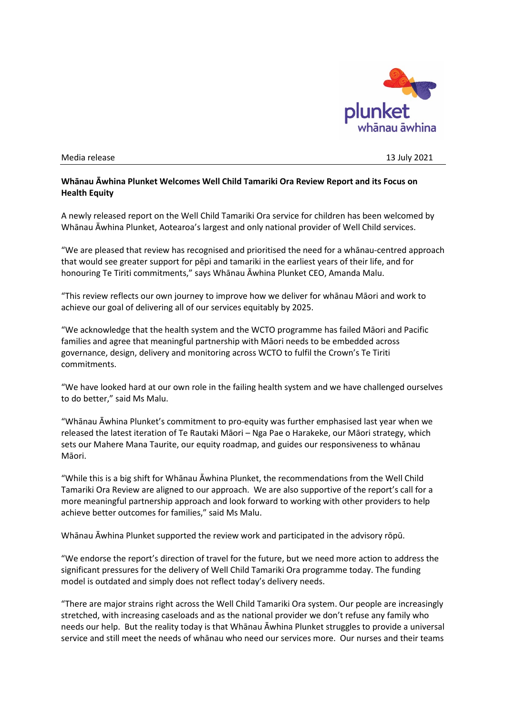

## Media release 13 July 2021

## **Whānau Āwhina Plunket Welcomes Well Child Tamariki Ora Review Report and its Focus on Health Equity**

A newly released report on the Well Child Tamariki Ora service for children has been welcomed by Whānau Āwhina Plunket, Aotearoa's largest and only national provider of Well Child services.

"We are pleased that review has recognised and prioritised the need for a whānau-centred approach that would see greater support for pēpi and tamariki in the earliest years of their life, and for honouring Te Tiriti commitments," says Whānau Āwhina Plunket CEO, Amanda Malu.

"This review reflects our own journey to improve how we deliver for whānau Māori and work to achieve our goal of delivering all of our services equitably by 2025.

"We acknowledge that the health system and the WCTO programme has failed Māori and Pacific families and agree that meaningful partnership with Māori needs to be embedded across governance, design, delivery and monitoring across WCTO to fulfil the Crown's Te Tiriti commitments.

"We have looked hard at our own role in the failing health system and we have challenged ourselves to do better," said Ms Malu.

"Whānau Āwhina Plunket's commitment to pro-equity was further emphasised last year when we released the latest iteration of Te Rautaki Māori – Nga Pae o Harakeke, our Māori strategy, which sets our Mahere Mana Taurite, our equity roadmap, and guides our responsiveness to whānau Māori.

"While this is a big shift for Whānau Āwhina Plunket, the recommendations from the Well Child Tamariki Ora Review are aligned to our approach. We are also supportive of the report's call for a more meaningful partnership approach and look forward to working with other providers to help achieve better outcomes for families," said Ms Malu.

Whānau Āwhina Plunket supported the review work and participated in the advisory rōpū.

"We endorse the report's direction of travel for the future, but we need more action to address the significant pressures for the delivery of Well Child Tamariki Ora programme today. The funding model is outdated and simply does not reflect today's delivery needs.

"There are major strains right across the Well Child Tamariki Ora system. Our people are increasingly stretched, with increasing caseloads and as the national provider we don't refuse any family who needs our help. But the reality today is that Whānau Āwhina Plunket struggles to provide a universal service and still meet the needs of whānau who need our services more. Our nurses and their teams